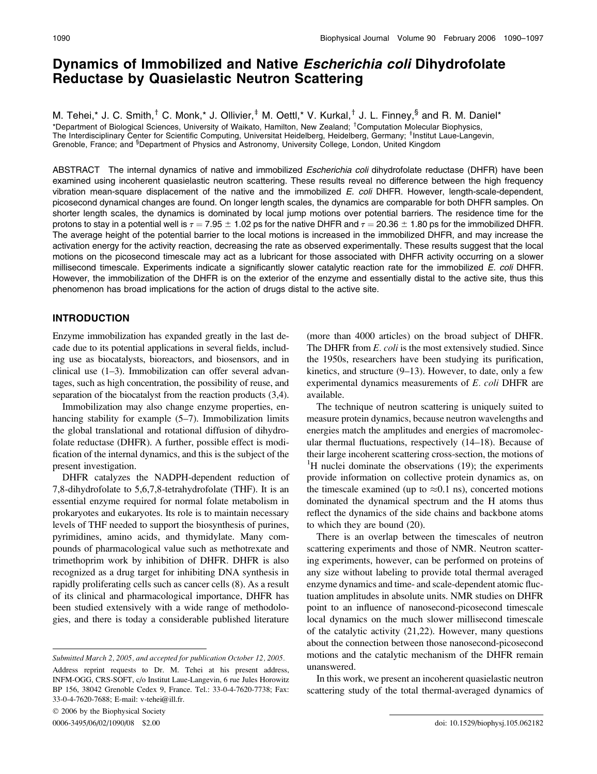# Dynamics of Immobilized and Native Escherichia coli Dihydrofolate Reductase by Quasielastic Neutron Scattering

M. Tehei,\* J. C. Smith,<sup>†</sup> C. Monk,\* J. Ollivier, $^{\ddagger}$  M. Oettl,\* V. Kurkal, $^{\dagger}$  J. L. Finney, $^{\$}$  and R. M. Daniel\* \*Department of Biological Sciences, University of Waikato, Hamilton, New Zealand; <sup>†</sup>Computation Molecular Biophysics, The Interdisciplinary Center for Scientific Computing, Universitat Heidelberg, Heidelberg, Germany; <sup>‡</sup>Institut Laue-Langevin, Grenoble, France; and <sup>§</sup>Department of Physics and Astronomy, University College, London, United Kingdom

ABSTRACT The internal dynamics of native and immobilized Escherichia coli dihydrofolate reductase (DHFR) have been examined using incoherent quasielastic neutron scattering. These results reveal no difference between the high frequency vibration mean-square displacement of the native and the immobilized E. coli DHFR. However, length-scale-dependent, picosecond dynamical changes are found. On longer length scales, the dynamics are comparable for both DHFR samples. On shorter length scales, the dynamics is dominated by local jump motions over potential barriers. The residence time for the protons to stay in a potential well is  $\tau = 7.95 \pm 1.02$  ps for the native DHFR and  $\tau = 20.36 \pm 1.80$  ps for the immobilized DHFR. The average height of the potential barrier to the local motions is increased in the immobilized DHFR, and may increase the activation energy for the activity reaction, decreasing the rate as observed experimentally. These results suggest that the local motions on the picosecond timescale may act as a lubricant for those associated with DHFR activity occurring on a slower millisecond timescale. Experiments indicate a significantly slower catalytic reaction rate for the immobilized  $E$ . coli DHFR. However, the immobilization of the DHFR is on the exterior of the enzyme and essentially distal to the active site, thus this phenomenon has broad implications for the action of drugs distal to the active site.

# INTRODUCTION

Enzyme immobilization has expanded greatly in the last decade due to its potential applications in several fields, including use as biocatalysts, bioreactors, and biosensors, and in clinical use (1–3). Immobilization can offer several advantages, such as high concentration, the possibility of reuse, and separation of the biocatalyst from the reaction products (3,4).

Immobilization may also change enzyme properties, enhancing stability for example (5–7). Immobilization limits the global translational and rotational diffusion of dihydrofolate reductase (DHFR). A further, possible effect is modification of the internal dynamics, and this is the subject of the present investigation.

DHFR catalyzes the NADPH-dependent reduction of 7,8-dihydrofolate to 5,6,7,8-tetrahydrofolate (THF). It is an essential enzyme required for normal folate metabolism in prokaryotes and eukaryotes. Its role is to maintain necessary levels of THF needed to support the biosynthesis of purines, pyrimidines, amino acids, and thymidylate. Many compounds of pharmacological value such as methotrexate and trimethoprim work by inhibition of DHFR. DHFR is also recognized as a drug target for inhibiting DNA synthesis in rapidly proliferating cells such as cancer cells (8). As a result of its clinical and pharmacological importance, DHFR has been studied extensively with a wide range of methodologies, and there is today a considerable published literature

Submitted March 2, 2005, and accepted for publication October 12, 2005.

 2006 by the Biophysical Society 0006-3495/06/02/1090/08 \$2.00 doi: 10.1529/biophysj.105.062182

(more than 4000 articles) on the broad subject of DHFR. The DHFR from *E. coli* is the most extensively studied. Since the 1950s, researchers have been studying its purification, kinetics, and structure  $(9-13)$ . However, to date, only a few experimental dynamics measurements of E. coli DHFR are available.

The technique of neutron scattering is uniquely suited to measure protein dynamics, because neutron wavelengths and energies match the amplitudes and energies of macromolecular thermal fluctuations, respectively (14–18). Because of their large incoherent scattering cross-section, the motions of <sup>1</sup>H nuclei dominate the observations (19); the experiments provide information on collective protein dynamics as, on the timescale examined (up to  $\approx 0.1$  ns), concerted motions dominated the dynamical spectrum and the H atoms thus reflect the dynamics of the side chains and backbone atoms to which they are bound (20).

There is an overlap between the timescales of neutron scattering experiments and those of NMR. Neutron scattering experiments, however, can be performed on proteins of any size without labeling to provide total thermal averaged enzyme dynamics and time- and scale-dependent atomic fluctuation amplitudes in absolute units. NMR studies on DHFR point to an influence of nanosecond-picosecond timescale local dynamics on the much slower millisecond timescale of the catalytic activity (21,22). However, many questions about the connection between those nanosecond-picosecond motions and the catalytic mechanism of the DHFR remain unanswered.

In this work, we present an incoherent quasielastic neutron scattering study of the total thermal-averaged dynamics of

Address reprint requests to Dr. M. Tehei at his present address, INFM-OGG, CRS-SOFT, c/o Institut Laue-Langevin, 6 rue Jules Horowitz BP 156, 38042 Grenoble Cedex 9, France. Tel.: 33-0-4-7620-7738; Fax: 33-0-4-7620-7688; E-mail: v-tehei@ill.fr.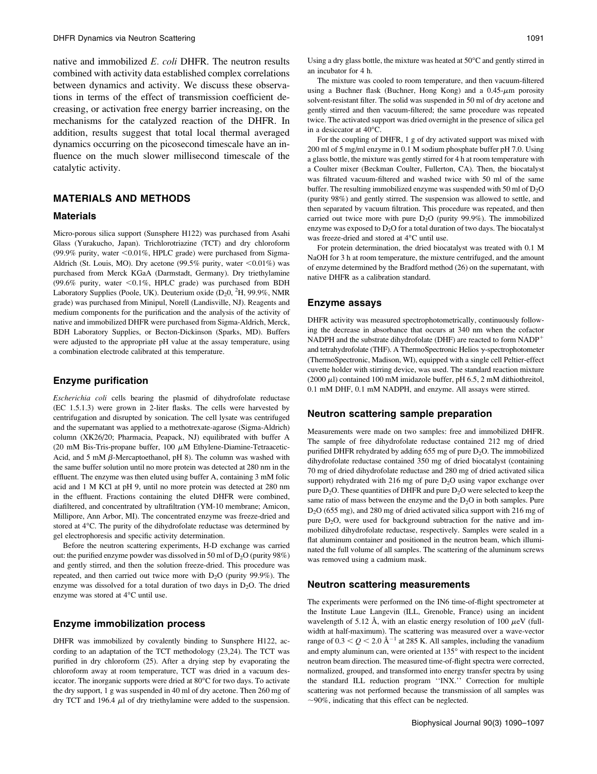native and immobilized E. coli DHFR. The neutron results combined with activity data established complex correlations between dynamics and activity. We discuss these observations in terms of the effect of transmission coefficient decreasing, or activation free energy barrier increasing, on the mechanisms for the catalyzed reaction of the DHFR. In addition, results suggest that total local thermal averaged dynamics occurring on the picosecond timescale have an influence on the much slower millisecond timescale of the catalytic activity.

# MATERIALS AND METHODS

#### Materials

Micro-porous silica support (Sunsphere H122) was purchased from Asahi Glass (Yurakucho, Japan). Trichlorotriazine (TCT) and dry chloroform (99.9% purity, water  $<$  0.01%, HPLC grade) were purchased from Sigma-Aldrich (St. Louis, MO). Dry acetone (99.5% purity, water  $\leq 0.01\%$ ) was purchased from Merck KGaA (Darmstadt, Germany). Dry triethylamine (99.6% purity, water  $<$  0.1%, HPLC grade) was purchased from BDH Laboratory Supplies (Poole, UK). Deuterium oxide  $(D_20, {}^2H, 99.9\%, NMR)$ grade) was purchased from Minipul, Norell (Landisville, NJ). Reagents and medium components for the purification and the analysis of the activity of native and immobilized DHFR were purchased from Sigma-Aldrich, Merck, BDH Laboratory Supplies, or Becton-Dickinson (Sparks, MD). Buffers were adjusted to the appropriate pH value at the assay temperature, using a combination electrode calibrated at this temperature.

#### Enzyme purification

Escherichia coli cells bearing the plasmid of dihydrofolate reductase (EC 1.5.1.3) were grown in 2-liter flasks. The cells were harvested by centrifugation and disrupted by sonication. The cell lysate was centrifuged and the supernatant was applied to a methotrexate-agarose (Sigma-Aldrich) column (XK26/20; Pharmacia, Peapack, NJ) equilibrated with buffer A (20 mM Bis-Tris-propane buffer, 100  $\mu$ M Ethylene-Diamine-Tetraacetic-Acid, and 5 mM  $\beta$ -Mercaptoethanol, pH 8). The column was washed with the same buffer solution until no more protein was detected at 280 nm in the effluent. The enzyme was then eluted using buffer A, containing 3 mM folic acid and 1 M KCl at pH 9, until no more protein was detected at 280 nm in the effluent. Fractions containing the eluted DHFR were combined, diafiltered, and concentrated by ultrafiltration (YM-10 membrane; Amicon, Millipore, Ann Arbor, MI). The concentrated enzyme was freeze-dried and stored at 4°C. The purity of the dihydrofolate reductase was determined by gel electrophoresis and specific activity determination.

Before the neutron scattering experiments, H-D exchange was carried out: the purified enzyme powder was dissolved in 50 ml of  $D_2O$  (purity 98%) and gently stirred, and then the solution freeze-dried. This procedure was repeated, and then carried out twice more with  $D_2O$  (purity 99.9%). The enzyme was dissolved for a total duration of two days in  $D_2O$ . The dried enzyme was stored at 4°C until use.

#### Enzyme immobilization process

DHFR was immobilized by covalently binding to Sunsphere H122, according to an adaptation of the TCT methodology (23,24). The TCT was purified in dry chloroform (25). After a drying step by evaporating the chloroform away at room temperature, TCT was dried in a vacuum desiccator. The inorganic supports were dried at 80°C for two days. To activate the dry support, 1 g was suspended in 40 ml of dry acetone. Then 260 mg of dry TCT and 196.4  $\mu$ l of dry triethylamine were added to the suspension.

Using a dry glass bottle, the mixture was heated at  $50^{\circ}$ C and gently stirred in an incubator for 4 h.

The mixture was cooled to room temperature, and then vacuum-filtered using a Buchner flask (Buchner, Hong Kong) and a  $0.45-\mu m$  porosity solvent-resistant filter. The solid was suspended in 50 ml of dry acetone and gently stirred and then vacuum-filtered; the same procedure was repeated twice. The activated support was dried overnight in the presence of silica gel in a desiccator at 40°C.

For the coupling of DHFR, 1 g of dry activated support was mixed with 200 ml of 5 mg/ml enzyme in 0.1 M sodium phosphate buffer pH 7.0. Using a glass bottle, the mixture was gently stirred for 4 h at room temperature with a Coulter mixer (Beckman Coulter, Fullerton, CA). Then, the biocatalyst was filtrated vacuum-filtered and washed twice with 50 ml of the same buffer. The resulting immobilized enzyme was suspended with 50 ml of  $D_2O$ (purity 98%) and gently stirred. The suspension was allowed to settle, and then separated by vacuum filtration. This procedure was repeated, and then carried out twice more with pure  $D_2O$  (purity 99.9%). The immobilized enzyme was exposed to D<sub>2</sub>O for a total duration of two days. The biocatalyst was freeze-dried and stored at 4°C until use.

For protein determination, the dried biocatalyst was treated with 0.1 M NaOH for 3 h at room temperature, the mixture centrifuged, and the amount of enzyme determined by the Bradford method (26) on the supernatant, with native DHFR as a calibration standard.

#### Enzyme assays

DHFR activity was measured spectrophotometrically, continuously following the decrease in absorbance that occurs at 340 nm when the cofactor NADPH and the substrate dihydrofolate (DHF) are reacted to form  $NADP<sup>+</sup>$ and tetrahydrofolate (THF). A ThermoSpectronic Helios  $\gamma$ -spectrophotometer (ThermoSpectronic, Madison, WI), equipped with a single cell Peltier-effect cuvette holder with stirring device, was used. The standard reaction mixture (2000  $\mu$ l) contained 100 mM imidazole buffer, pH 6.5, 2 mM dithiothreitol, 0.1 mM DHF, 0.1 mM NADPH, and enzyme. All assays were stirred.

#### Neutron scattering sample preparation

Measurements were made on two samples: free and immobilized DHFR. The sample of free dihydrofolate reductase contained 212 mg of dried purified DHFR rehydrated by adding 655 mg of pure  $D_2O$ . The immobilized dihydrofolate reductase contained 350 mg of dried biocatalyst (containing 70 mg of dried dihydrofolate reductase and 280 mg of dried activated silica support) rehydrated with 216 mg of pure D<sub>2</sub>O using vapor exchange over pure  $D_2O$ . These quantities of DHFR and pure  $D_2O$  were selected to keep the same ratio of mass between the enzyme and the  $D_2O$  in both samples. Pure D2O (655 mg), and 280 mg of dried activated silica support with 216 mg of pure  $D_2O$ , were used for background subtraction for the native and immobilized dihydrofolate reductase, respectively. Samples were sealed in a flat aluminum container and positioned in the neutron beam, which illuminated the full volume of all samples. The scattering of the aluminum screws was removed using a cadmium mask.

## Neutron scattering measurements

The experiments were performed on the IN6 time-of-flight spectrometer at the Institute Laue Langevin (ILL, Grenoble, France) using an incident wavelength of 5.12 Å, with an elastic energy resolution of 100  $\mu$ eV (fullwidth at half-maximum). The scattering was measured over a wave-vector range of  $0.3 < Q < 2.0$  Å<sup>-1</sup> at 285 K. All samples, including the vanadium and empty aluminum can, were oriented at  $135^{\circ}$  with respect to the incident neutron beam direction. The measured time-of-flight spectra were corrected, normalized, grouped, and transformed into energy transfer spectra by using the standard ILL reduction program ''INX.'' Correction for multiple scattering was not performed because the transmission of all samples was  $\sim$ 90%, indicating that this effect can be neglected.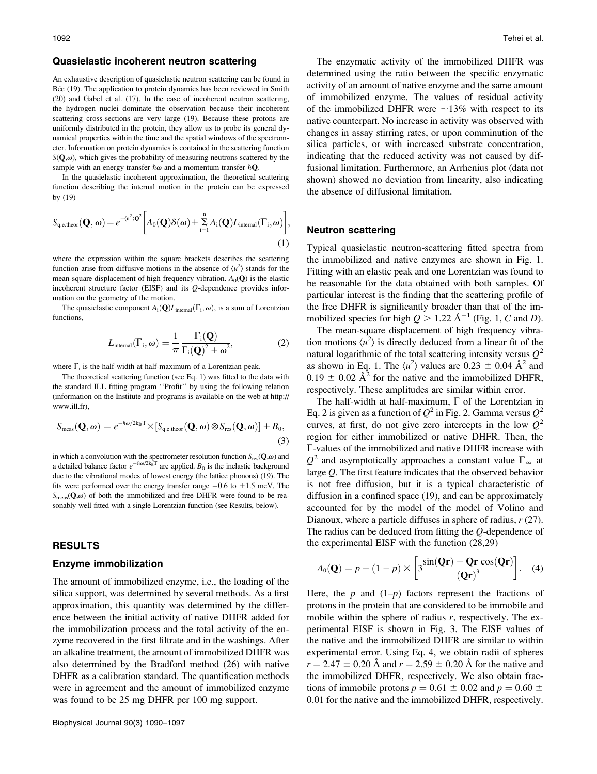#### Quasielastic incoherent neutron scattering

An exhaustive description of quasielastic neutron scattering can be found in Bée (19). The application to protein dynamics has been reviewed in Smith (20) and Gabel et al. (17). In the case of incoherent neutron scattering, the hydrogen nuclei dominate the observation because their incoherent scattering cross-sections are very large (19). Because these protons are uniformly distributed in the protein, they allow us to probe its general dynamical properties within the time and the spatial windows of the spectrometer. Information on protein dynamics is contained in the scattering function  $S(Q,\omega)$ , which gives the probability of measuring neutrons scattered by the sample with an energy transfer  $\hbar \omega$  and a momentum transfer  $\hbar \mathbf{Q}$ .

In the quasielastic incoherent approximation, the theoretical scattering function describing the internal motion in the protein can be expressed by (19)

$$
S_{q.e. theorem}(\mathbf{Q}, \omega) = e^{-\langle \mathbf{u}^2 \rangle \mathbf{Q}^2} \bigg[ A_0(\mathbf{Q}) \delta(\omega) + \sum_{i=1}^n A_i(\mathbf{Q}) L_{internal}(\Gamma_i, \omega) \bigg],
$$
\n(1)

where the expression within the square brackets describes the scattering function arise from diffusive motions in the absence of  $\langle u^2 \rangle$  stands for the mean-square displacement of high frequency vibration.  $A_0(\mathbf{Q})$  is the elastic incoherent structure factor (EISF) and its  $Q$ -dependence provides information on the geometry of the motion.

The quasielastic component  $A_i(\mathbf{Q})L_{\text{internal}}(\Gamma_i, \omega)$ , is a sum of Lorentzian functions,

$$
L_{\text{internal}}(\Gamma_{\text{i}}, \omega) = \frac{1}{\pi} \frac{\Gamma_{\text{i}}(\mathbf{Q})}{\Gamma_{\text{i}}(\mathbf{Q})^2 + \omega^2},\tag{2}
$$

where  $\Gamma_i$  is the half-width at half-maximum of a Lorentzian peak.

The theoretical scattering function (see Eq. 1) was fitted to the data with the standard ILL fitting program ''Profit'' by using the following relation (information on the Institute and programs is available on the web at http:// www.ill.fr),

$$
S_{\text{meas}}(\mathbf{Q}, \omega) = e^{-\hbar \omega/2\mathbf{k}_{\text{B}}T} \times [S_{\text{q.e.},\text{theor}}(\mathbf{Q}, \omega) \otimes S_{\text{res}}(\mathbf{Q}, \omega)] + B_0,
$$
\n(3)

in which a convolution with the spectrometer resolution function  $S_{\text{res}}(\mathbf{Q}, \omega)$  and a detailed balance factor  $e^{-\hbar \omega/2k_B T}$  are applied.  $B_0$  is the inelastic background due to the vibrational modes of lowest energy (the lattice phonons) (19). The fits were performed over the energy transfer range  $-0.6$  to  $+1.5$  meV. The  $S_{\text{meas}}(\mathbf{Q}, \omega)$  of both the immobilized and free DHFR were found to be reasonably well fitted with a single Lorentzian function (see Results, below).

# RESULTS

#### Enzyme immobilization

The amount of immobilized enzyme, i.e., the loading of the silica support, was determined by several methods. As a first approximation, this quantity was determined by the difference between the initial activity of native DHFR added for the immobilization process and the total activity of the enzyme recovered in the first filtrate and in the washings. After an alkaline treatment, the amount of immobilized DHFR was also determined by the Bradford method (26) with native DHFR as a calibration standard. The quantification methods were in agreement and the amount of immobilized enzyme was found to be 25 mg DHFR per 100 mg support.

The enzymatic activity of the immobilized DHFR was determined using the ratio between the specific enzymatic activity of an amount of native enzyme and the same amount of immobilized enzyme. The values of residual activity of the immobilized DHFR were  $\sim$ 13% with respect to its native counterpart. No increase in activity was observed with changes in assay stirring rates, or upon comminution of the silica particles, or with increased substrate concentration, indicating that the reduced activity was not caused by diffusional limitation. Furthermore, an Arrhenius plot (data not shown) showed no deviation from linearity, also indicating the absence of diffusional limitation.

## Neutron scattering

Typical quasielastic neutron-scattering fitted spectra from the immobilized and native enzymes are shown in Fig. 1. Fitting with an elastic peak and one Lorentzian was found to be reasonable for the data obtained with both samples. Of particular interest is the finding that the scattering profile of the free DHFR is significantly broader than that of the immobilized species for high  $Q > 1.22$  Å<sup>-1</sup> (Fig. 1, C and D).

The mean-square displacement of high frequency vibration motions  $\langle u^2 \rangle$  is directly deduced from a linear fit of the natural logarithmic of the total scattering intensity versus  $Q^2$ as shown in Eq. 1. The  $\langle u^2 \rangle$  values are 0.23  $\pm$  0.04 Å<sup>2</sup> and  $0.19 \pm 0.02$  Å<sup>2</sup> for the native and the immobilized DHFR, respectively. These amplitudes are similar within error.

The half-width at half-maximum,  $\Gamma$  of the Lorentzian in Eq. 2 is given as a function of  $Q^2$  in Fig. 2. Gamma versus  $Q^2$ curves, at first, do not give zero intercepts in the low  $Q^2$ region for either immobilized or native DHFR. Then, the G-values of the immobilized and native DHFR increase with  $Q^2$  and asymptotically approaches a constant value  $\Gamma_\infty$  at large Q. The first feature indicates that the observed behavior is not free diffusion, but it is a typical characteristic of diffusion in a confined space (19), and can be approximately accounted for by the model of the model of Volino and Dianoux, where a particle diffuses in sphere of radius,  $r(27)$ . The radius can be deduced from fitting the Q-dependence of the experimental EISF with the function (28,29)

$$
A_0(\mathbf{Q}) = p + (1 - p) \times \left[ 3 \frac{\sin(\mathbf{Q} \mathbf{r}) - \mathbf{Q} \mathbf{r} \cos(\mathbf{Q} \mathbf{r})}{(\mathbf{Q} \mathbf{r})^3} \right].
$$
 (4)

Here, the  $p$  and  $(1-p)$  factors represent the fractions of protons in the protein that are considered to be immobile and mobile within the sphere of radius  $r$ , respectively. The experimental EISF is shown in Fig. 3. The EISF values of the native and the immobilized DHFR are similar to within experimental error. Using Eq. 4, we obtain radii of spheres  $r = 2.47 \pm 0.20$  Å and  $r = 2.59 \pm 0.20$  Å for the native and the immobilized DHFR, respectively. We also obtain fractions of immobile protons  $p = 0.61 \pm 0.02$  and  $p = 0.60 \pm 0.60$ 0.01 for the native and the immobilized DHFR, respectively.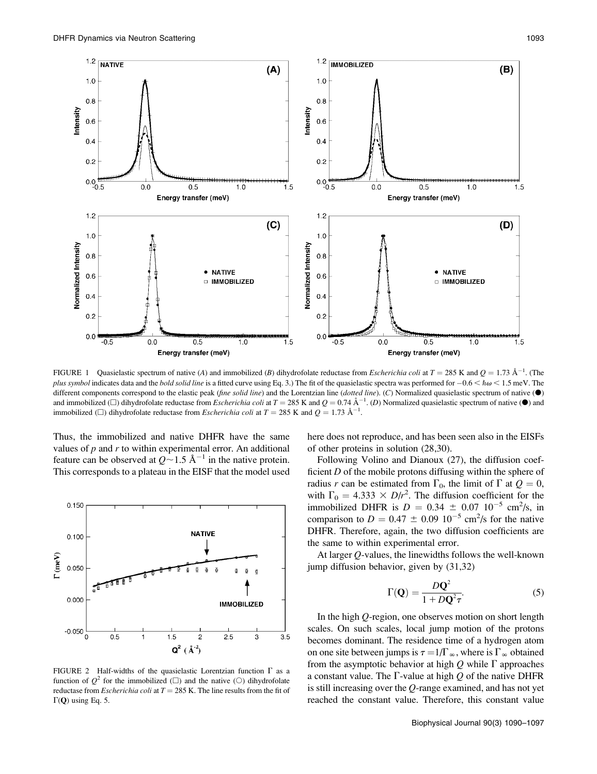

FIGURE 1 Quasielastic spectrum of native (A) and immobilized (B) dihydrofolate reductase from *Escherichia coli* at  $T = 285$  K and  $Q = 1.73$  Å<sup>-1</sup>. (The plus symbol indicates data and the *bold solid line* is a fitted curve using Eq. 3.) The fit of the quasielastic spectra was performed for  $-0.6 < \hbar \omega < 1.5$  meV. The different components correspond to the elastic peak (fine solid line) and the Lorentzian line (dotted line). (C) Normalized quasielastic spectrum of native  $($ <sup>o</sup>) and immobilized ( $\Box$ ) dihydrofolate reductase from *Escherichia coli* at T = 285 K and Q = 0.74 Å<sup>-1</sup>. (D) Normalized quasielastic spectrum of native ( $\bullet$ ) and immobilized ( $\square$ ) dihydrofolate reductase from *Escherichia coli* at  $T = 285$  K and  $Q = 1.73$   $\AA^{-1}$ .

Thus, the immobilized and native DHFR have the same values of  $p$  and  $r$  to within experimental error. An additional feature can be observed at  $Q \sim 1.5 \text{ Å}^{-1}$  in the native protein. This corresponds to a plateau in the EISF that the model used



FIGURE 2 Half-widths of the quasielastic Lorentzian function  $\Gamma$  as a function of  $Q^2$  for the immobilized ( $\square$ ) and the native ( $\bigcirc$ ) dihydrofolate reductase from *Escherichia coli* at  $T = 285$  K. The line results from the fit of  $\Gamma(Q)$  using Eq. 5.

here does not reproduce, and has been seen also in the EISFs of other proteins in solution (28,30).

Following Volino and Dianoux (27), the diffusion coefficient  $D$  of the mobile protons diffusing within the sphere of radius r can be estimated from  $\Gamma_0$ , the limit of  $\Gamma$  at  $Q = 0$ , with  $\Gamma_0 = 4.333 \times D/r^2$ . The diffusion coefficient for the immobilized DHFR is  $D = 0.34 \pm 0.07 \, 10^{-5} \, \text{cm}^2\text{/s}$ , in comparison to  $D = 0.47 \pm 0.09 \, 10^{-5} \, \text{cm}^2/\text{s}$  for the native DHFR. Therefore, again, the two diffusion coefficients are the same to within experimental error.

At larger Q-values, the linewidths follows the well-known jump diffusion behavior, given by (31,32)

$$
\Gamma(\mathbf{Q}) = \frac{D\mathbf{Q}^2}{1 + D\mathbf{Q}^2 \tau}.
$$
 (5)

In the high Q-region, one observes motion on short length scales. On such scales, local jump motion of the protons becomes dominant. The residence time of a hydrogen atom on one site between jumps is  $\tau = 1/\Gamma_{\infty}$ , where is  $\Gamma_{\infty}$  obtained from the asymptotic behavior at high  $Q$  while  $\Gamma$  approaches a constant value. The  $\Gamma$ -value at high O of the native DHFR is still increasing over the Q-range examined, and has not yet reached the constant value. Therefore, this constant value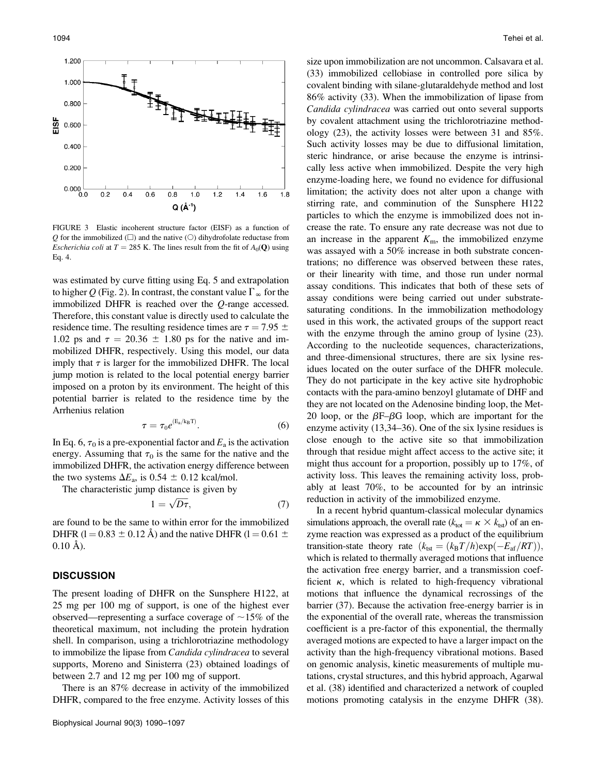

FIGURE 3 Elastic incoherent structure factor (EISF) as a function of Q for the immobilized  $(\square)$  and the native  $(\square)$  dihydrofolate reductase from *Escherichia coli* at  $T = 285$  K. The lines result from the fit of  $A_0(\mathbf{Q})$  using Eq. 4.

was estimated by curve fitting using Eq. 5 and extrapolation to higher Q (Fig. 2). In contrast, the constant value  $\Gamma_{\infty}$  for the immobilized DHFR is reached over the Q-range accessed. Therefore, this constant value is directly used to calculate the residence time. The resulting residence times are  $\tau = 7.95 \pm$ 1.02 ps and  $\tau = 20.36 \pm 1.80$  ps for the native and immobilized DHFR, respectively. Using this model, our data imply that  $\tau$  is larger for the immobilized DHFR. The local jump motion is related to the local potential energy barrier imposed on a proton by its environment. The height of this potential barrier is related to the residence time by the Arrhenius relation

$$
\tau = \tau_0 e^{(\mathbf{E}_a/\mathbf{k}_B \mathbf{T})}.\tag{6}
$$

In Eq. 6,  $\tau_0$  is a pre-exponential factor and  $E_a$  is the activation energy. Assuming that  $\tau_0$  is the same for the native and the immobilized DHFR, the activation energy difference between the two systems  $\Delta E_a$ , is 0.54  $\pm$  0.12 kcal/mol.

The characteristic jump distance is given by

$$
1 = \sqrt{D\tau},\tag{7}
$$

are found to be the same to within error for the immobilized DHFR (1 = 0.83  $\pm$  0.12 Å) and the native DHFR (1 = 0.61  $\pm$  $0.10$  Å).

## **DISCUSSION**

The present loading of DHFR on the Sunsphere H122, at 25 mg per 100 mg of support, is one of the highest ever observed—representing a surface coverage of  $\sim$ 15% of the theoretical maximum, not including the protein hydration shell. In comparison, using a trichlorotriazine methodology to immobilize the lipase from Candida cylindracea to several supports, Moreno and Sinisterra (23) obtained loadings of between 2.7 and 12 mg per 100 mg of support.

There is an 87% decrease in activity of the immobilized DHFR, compared to the free enzyme. Activity losses of this

size upon immobilization are not uncommon. Calsavara et al. (33) immobilized cellobiase in controlled pore silica by covalent binding with silane-glutaraldehyde method and lost 86% activity (33). When the immobilization of lipase from Candida cylindracea was carried out onto several supports by covalent attachment using the trichlorotriazine methodology (23), the activity losses were between 31 and 85%. Such activity losses may be due to diffusional limitation, steric hindrance, or arise because the enzyme is intrinsically less active when immobilized. Despite the very high enzyme-loading here, we found no evidence for diffusional limitation; the activity does not alter upon a change with stirring rate, and comminution of the Sunsphere H122 particles to which the enzyme is immobilized does not increase the rate. To ensure any rate decrease was not due to an increase in the apparent  $K<sub>m</sub>$ , the immobilized enzyme was assayed with a 50% increase in both substrate concentrations; no difference was observed between these rates, or their linearity with time, and those run under normal assay conditions. This indicates that both of these sets of assay conditions were being carried out under substratesaturating conditions. In the immobilization methodology used in this work, the activated groups of the support react with the enzyme through the amino group of lysine (23). According to the nucleotide sequences, characterizations, and three-dimensional structures, there are six lysine residues located on the outer surface of the DHFR molecule. They do not participate in the key active site hydrophobic contacts with the para-amino benzoyl glutamate of DHF and they are not located on the Adenosine binding loop, the Met-20 loop, or the  $\beta$ F– $\beta$ G loop, which are important for the enzyme activity (13,34–36). One of the six lysine residues is close enough to the active site so that immobilization through that residue might affect access to the active site; it might thus account for a proportion, possibly up to 17%, of activity loss. This leaves the remaining activity loss, probably at least 70%, to be accounted for by an intrinsic reduction in activity of the immobilized enzyme.

In a recent hybrid quantum-classical molecular dynamics simulations approach, the overall rate ( $k_{\text{tot}} = \kappa \times k_{\text{tst}}$ ) of an enzyme reaction was expressed as a product of the equilibrium transition-state theory rate  $(k_{\text{ts}} = (k_{\text{B}}T/h)\exp(-E_{\text{af}}/RT)),$ which is related to thermally averaged motions that influence the activation free energy barrier, and a transmission coefficient  $\kappa$ , which is related to high-frequency vibrational motions that influence the dynamical recrossings of the barrier (37). Because the activation free-energy barrier is in the exponential of the overall rate, whereas the transmission coefficient is a pre-factor of this exponential, the thermally averaged motions are expected to have a larger impact on the activity than the high-frequency vibrational motions. Based on genomic analysis, kinetic measurements of multiple mutations, crystal structures, and this hybrid approach, Agarwal et al. (38) identified and characterized a network of coupled motions promoting catalysis in the enzyme DHFR (38).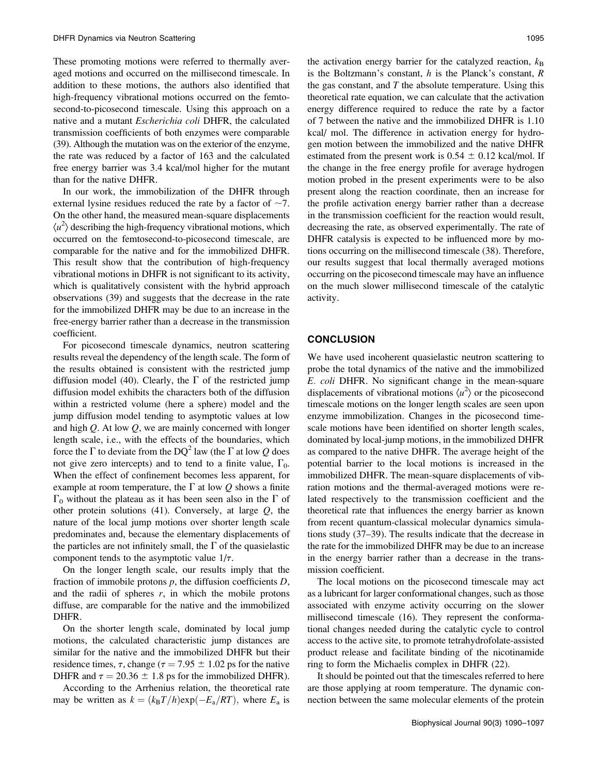These promoting motions were referred to thermally averaged motions and occurred on the millisecond timescale. In addition to these motions, the authors also identified that high-frequency vibrational motions occurred on the femtosecond-to-picosecond timescale. Using this approach on a native and a mutant Escherichia coli DHFR, the calculated transmission coefficients of both enzymes were comparable (39). Although the mutation was on the exterior of the enzyme, the rate was reduced by a factor of 163 and the calculated free energy barrier was 3.4 kcal/mol higher for the mutant than for the native DHFR.

In our work, the immobilization of the DHFR through external lysine residues reduced the rate by a factor of  $\sim$ 7. On the other hand, the measured mean-square displacements  $\langle u^2 \rangle$  describing the high-frequency vibrational motions, which occurred on the femtosecond-to-picosecond timescale, are comparable for the native and for the immobilized DHFR. This result show that the contribution of high-frequency vibrational motions in DHFR is not significant to its activity, which is qualitatively consistent with the hybrid approach observations (39) and suggests that the decrease in the rate for the immobilized DHFR may be due to an increase in the free-energy barrier rather than a decrease in the transmission coefficient.

For picosecond timescale dynamics, neutron scattering results reveal the dependency of the length scale. The form of the results obtained is consistent with the restricted jump diffusion model (40). Clearly, the  $\Gamma$  of the restricted jump diffusion model exhibits the characters both of the diffusion within a restricted volume (here a sphere) model and the jump diffusion model tending to asymptotic values at low and high  $Q$ . At low  $Q$ , we are mainly concerned with longer length scale, i.e., with the effects of the boundaries, which force the  $\Gamma$  to deviate from the DQ<sup>2</sup> law (the  $\Gamma$  at low Q does not give zero intercepts) and to tend to a finite value,  $\Gamma_0$ . When the effect of confinement becomes less apparent, for example at room temperature, the  $\Gamma$  at low Q shows a finite  $\Gamma_0$  without the plateau as it has been seen also in the  $\Gamma$  of other protein solutions  $(41)$ . Conversely, at large  $Q$ , the nature of the local jump motions over shorter length scale predominates and, because the elementary displacements of the particles are not infinitely small, the  $\Gamma$  of the quasielastic component tends to the asymptotic value  $1/\tau$ .

On the longer length scale, our results imply that the fraction of immobile protons  $p$ , the diffusion coefficients  $D$ , and the radii of spheres  $r$ , in which the mobile protons diffuse, are comparable for the native and the immobilized DHFR.

On the shorter length scale, dominated by local jump motions, the calculated characteristic jump distances are similar for the native and the immobilized DHFR but their residence times,  $\tau$ , change ( $\tau = 7.95 \pm 1.02$  ps for the native DHFR and  $\tau = 20.36 \pm 1.8$  ps for the immobilized DHFR).

According to the Arrhenius relation, the theoretical rate may be written as  $k = (k_B T/h) \exp(-E_a/RT)$ , where  $E_a$  is

the activation energy barrier for the catalyzed reaction,  $k_{\text{B}}$ is the Boltzmann's constant,  $h$  is the Planck's constant,  $R$ the gas constant, and  $T$  the absolute temperature. Using this theoretical rate equation, we can calculate that the activation energy difference required to reduce the rate by a factor of 7 between the native and the immobilized DHFR is 1.10 kcal/ mol. The difference in activation energy for hydrogen motion between the immobilized and the native DHFR estimated from the present work is  $0.54 \pm 0.12$  kcal/mol. If the change in the free energy profile for average hydrogen motion probed in the present experiments were to be also present along the reaction coordinate, then an increase for the profile activation energy barrier rather than a decrease in the transmission coefficient for the reaction would result, decreasing the rate, as observed experimentally. The rate of DHFR catalysis is expected to be influenced more by motions occurring on the millisecond timescale (38). Therefore,

our results suggest that local thermally averaged motions occurring on the picosecond timescale may have an influence on the much slower millisecond timescale of the catalytic activity.

## **CONCLUSION**

We have used incoherent quasielastic neutron scattering to probe the total dynamics of the native and the immobilized E. coli DHFR. No significant change in the mean-square displacements of vibrational motions  $\langle u^2 \rangle$  or the picosecond timescale motions on the longer length scales are seen upon enzyme immobilization. Changes in the picosecond timescale motions have been identified on shorter length scales, dominated by local-jump motions, in the immobilized DHFR as compared to the native DHFR. The average height of the potential barrier to the local motions is increased in the immobilized DHFR. The mean-square displacements of vibration motions and the thermal-averaged motions were related respectively to the transmission coefficient and the theoretical rate that influences the energy barrier as known from recent quantum-classical molecular dynamics simulations study (37–39). The results indicate that the decrease in the rate for the immobilized DHFR may be due to an increase in the energy barrier rather than a decrease in the transmission coefficient.

The local motions on the picosecond timescale may act as a lubricant for larger conformational changes, such as those associated with enzyme activity occurring on the slower millisecond timescale (16). They represent the conformational changes needed during the catalytic cycle to control access to the active site, to promote tetrahydrofolate-assisted product release and facilitate binding of the nicotinamide ring to form the Michaelis complex in DHFR (22).

It should be pointed out that the timescales referred to here are those applying at room temperature. The dynamic connection between the same molecular elements of the protein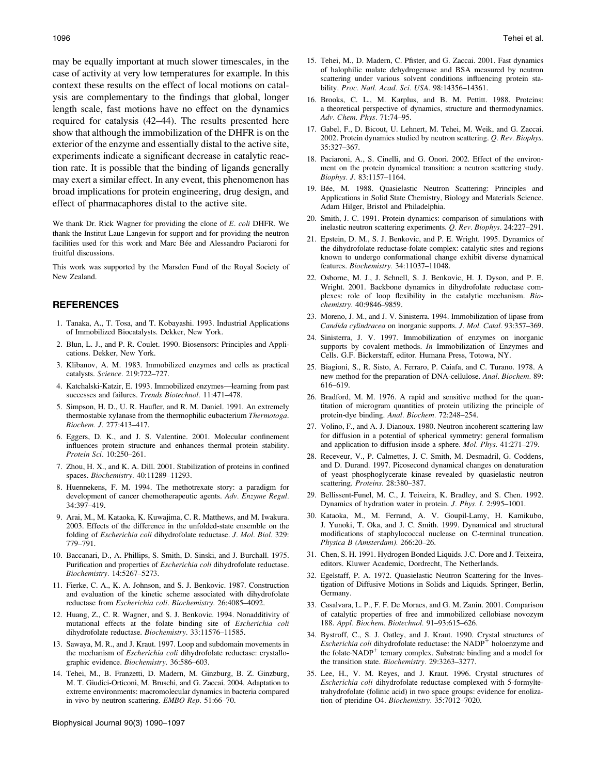may be equally important at much slower timescales, in the case of activity at very low temperatures for example. In this context these results on the effect of local motions on catalysis are complementary to the findings that global, longer length scale, fast motions have no effect on the dynamics required for catalysis (42–44). The results presented here show that although the immobilization of the DHFR is on the exterior of the enzyme and essentially distal to the active site, experiments indicate a significant decrease in catalytic reaction rate. It is possible that the binding of ligands generally may exert a similar effect. In any event, this phenomenon has broad implications for protein engineering, drug design, and effect of pharmacaphores distal to the active site.

We thank Dr. Rick Wagner for providing the clone of E. coli DHFR. We thank the Institut Laue Langevin for support and for providing the neutron facilities used for this work and Marc Bée and Alessandro Paciaroni for fruitful discussions.

This work was supported by the Marsden Fund of the Royal Society of New Zealand.

#### **REFERENCES**

- 1. Tanaka, A., T. Tosa, and T. Kobayashi. 1993. Industrial Applications of Immobilized Biocatalysts. Dekker, New York.
- 2. Blun, L. J., and P. R. Coulet. 1990. Biosensors: Principles and Applications. Dekker, New York.
- 3. Klibanov, A. M. 1983. Immobilized enzymes and cells as practical catalysts. Science. 219:722–727.
- 4. Katchalski-Katzir, E. 1993. Immobilized enzymes—learning from past successes and failures. Trends Biotechnol. 11:471–478.
- 5. Simpson, H. D., U. R. Haufler, and R. M. Daniel. 1991. An extremely thermostable xylanase from the thermophilic eubacterium Thermotoga. Biochem. J. 277:413–417.
- 6. Eggers, D. K., and J. S. Valentine. 2001. Molecular confinement influences protein structure and enhances thermal protein stability. Protein Sci. 10:250–261.
- 7. Zhou, H. X., and K. A. Dill. 2001. Stabilization of proteins in confined spaces. Biochemistry. 40:11289–11293.
- 8. Huennekens, F. M. 1994. The methotrexate story: a paradigm for development of cancer chemotherapeutic agents. Adv. Enzyme Regul. 34:397–419.
- 9. Arai, M., M. Kataoka, K. Kuwajima, C. R. Matthews, and M. Iwakura. 2003. Effects of the difference in the unfolded-state ensemble on the folding of Escherichia coli dihydrofolate reductase. J. Mol. Biol. 329: 779–791.
- 10. Baccanari, D., A. Phillips, S. Smith, D. Sinski, and J. Burchall. 1975. Purification and properties of Escherichia coli dihydrofolate reductase. Biochemistry. 14:5267–5273.
- 11. Fierke, C. A., K. A. Johnson, and S. J. Benkovic. 1987. Construction and evaluation of the kinetic scheme associated with dihydrofolate reductase from Escherichia coli. Biochemistry. 26:4085–4092.
- 12. Huang, Z., C. R. Wagner, and S. J. Benkovic. 1994. Nonadditivity of mutational effects at the folate binding site of Escherichia coli dihydrofolate reductase. Biochemistry. 33:11576–11585.
- 13. Sawaya, M. R., and J. Kraut. 1997. Loop and subdomain movements in the mechanism of Escherichia coli dihydrofolate reductase: crystallographic evidence. Biochemistry. 36:586–603.
- 14. Tehei, M., B. Franzetti, D. Madern, M. Ginzburg, B. Z. Ginzburg, M. T. Giudici-Orticoni, M. Bruschi, and G. Zaccai. 2004. Adaptation to extreme environments: macromolecular dynamics in bacteria compared in vivo by neutron scattering. EMBO Rep. 51:66–70.
- 15. Tehei, M., D. Madern, C. Pfister, and G. Zaccai. 2001. Fast dynamics of halophilic malate dehydrogenase and BSA measured by neutron scattering under various solvent conditions influencing protein stability. Proc. Natl. Acad. Sci. USA. 98:14356–14361.
- 16. Brooks, C. L., M. Karplus, and B. M. Pettitt. 1988. Proteins: a theoretical perspective of dynamics, structure and thermodynamics. Adv. Chem. Phys. 71:74–95.
- 17. Gabel, F., D. Bicout, U. Lehnert, M. Tehei, M. Weik, and G. Zaccai. 2002. Protein dynamics studied by neutron scattering. Q. Rev. Biophys. 35:327–367.
- 18. Paciaroni, A., S. Cinelli, and G. Onori. 2002. Effect of the environment on the protein dynamical transition: a neutron scattering study. Biophys. J. 83:1157–1164.
- 19. Bée, M. 1988. Quasielastic Neutron Scattering: Principles and Applications in Solid State Chemistry, Biology and Materials Science. Adam Hilger, Bristol and Philadelphia.
- 20. Smith, J. C. 1991. Protein dynamics: comparison of simulations with inelastic neutron scattering experiments. Q. Rev. Biophys. 24:227–291.
- 21. Epstein, D. M., S. J. Benkovic, and P. E. Wright. 1995. Dynamics of the dihydrofolate reductase-folate complex: catalytic sites and regions known to undergo conformational change exhibit diverse dynamical features. Biochemistry. 34:11037–11048.
- 22. Osborne, M. J., J. Schnell, S. J. Benkovic, H. J. Dyson, and P. E. Wright. 2001. Backbone dynamics in dihydrofolate reductase complexes: role of loop flexibility in the catalytic mechanism. Biochemistry. 40:9846–9859.
- 23. Moreno, J. M., and J. V. Sinisterra. 1994. Immobilization of lipase from Candida cylindracea on inorganic supports. J. Mol. Catal. 93:357–369.
- 24. Sinisterra, J. V. 1997. Immobilization of enzymes on inorganic supports by covalent methods. In Immobilization of Enzymes and Cells. G.F. Bickerstaff, editor. Humana Press, Totowa, NY.
- 25. Biagioni, S., R. Sisto, A. Ferraro, P. Caiafa, and C. Turano. 1978. A new method for the preparation of DNA-cellulose. Anal. Biochem. 89: 616–619.
- 26. Bradford, M. M. 1976. A rapid and sensitive method for the quantitation of microgram quantities of protein utilizing the principle of protein-dye binding. Anal. Biochem. 72:248–254.
- 27. Volino, F., and A. J. Dianoux. 1980. Neutron incoherent scattering law for diffusion in a potential of spherical symmetry: general formalism and application to diffusion inside a sphere. Mol. Phys. 41:271–279.
- 28. Receveur, V., P. Calmettes, J. C. Smith, M. Desmadril, G. Coddens, and D. Durand. 1997. Picosecond dynamical changes on denaturation of yeast phosphoglycerate kinase revealed by quasielastic neutron scattering. Proteins. 28:380–387.
- 29. Bellissent-Funel, M. C., J. Teixeira, K. Bradley, and S. Chen. 1992. Dynamics of hydration water in protein. J. Phys. I. 2:995–1001.
- 30. Kataoka, M., M. Ferrand, A. V. Goupil-Lamy, H. Kamikubo, J. Yunoki, T. Oka, and J. C. Smith. 1999. Dynamical and structural modifications of staphylococcal nuclease on C-terminal truncation. Physica B (Amsterdam). 266:20–26.
- 31. Chen, S. H. 1991. Hydrogen Bonded Liquids. J.C. Dore and J. Teixeira, editors. Kluwer Academic, Dordrecht, The Netherlands.
- 32. Egelstaff, P. A. 1972. Quasielastic Neutron Scattering for the Investigation of Diffusive Motions in Solids and Liquids. Springer, Berlin, Germany.
- 33. Casalvara, L. P., F. F. De Moraes, and G. M. Zanin. 2001. Comparison of catalytic properties of free and immobilized cellobiase novozym 188. Appl. Biochem. Biotechnol. 91–93:615–626.
- 34. Bystroff, C., S. J. Oatley, and J. Kraut. 1990. Crystal structures of Escherichia coli dihydrofolate reductase: the  $NADP<sup>+</sup>$  holoenzyme and the folate  $NADP<sup>+</sup>$  ternary complex. Substrate binding and a model for the transition state. Biochemistry. 29:3263–3277.
- 35. Lee, H., V. M. Reyes, and J. Kraut. 1996. Crystal structures of Escherichia coli dihydrofolate reductase complexed with 5-formyltetrahydrofolate (folinic acid) in two space groups: evidence for enolization of pteridine O4. Biochemistry. 35:7012–7020.